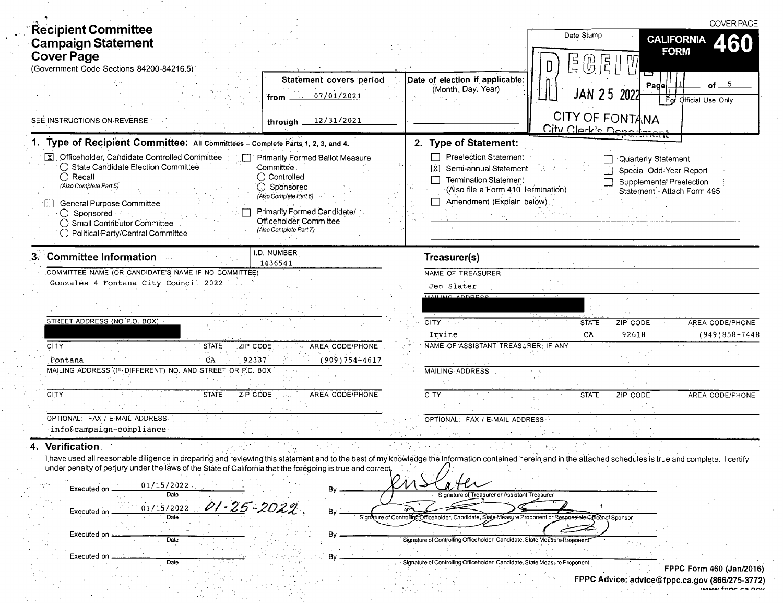| <b>Recipient Committee</b><br><b>Campaign Statement</b><br><b>Cover Page</b><br>(Government Code Sections 84200-84216.5);                                                                                                                                                                                                                                                                                                                     |                                                                                                                                                                                             |                                                                                                                                                                                | Date Stamp<br>尾 (6)<br>$\overline{E}$  | <b>CALIFORNIA</b><br><b>FORM</b>                                                                          | <b>COVER PAGE</b><br>460             |
|-----------------------------------------------------------------------------------------------------------------------------------------------------------------------------------------------------------------------------------------------------------------------------------------------------------------------------------------------------------------------------------------------------------------------------------------------|---------------------------------------------------------------------------------------------------------------------------------------------------------------------------------------------|--------------------------------------------------------------------------------------------------------------------------------------------------------------------------------|----------------------------------------|-----------------------------------------------------------------------------------------------------------|--------------------------------------|
|                                                                                                                                                                                                                                                                                                                                                                                                                                               | Statement covers period<br>07/01/2021<br>from<br>$\sim 200$                                                                                                                                 | Date of election if applicable:<br>(Month, Day, Year)                                                                                                                          | <b>JAN 25</b>                          | Page<br>2022<br>下。                                                                                        | of <sub>5</sub><br>Official Use Only |
| SEE INSTRUCTIONS ON REVERSE                                                                                                                                                                                                                                                                                                                                                                                                                   | 12/31/2021<br>through _                                                                                                                                                                     |                                                                                                                                                                                | CITY OF FONTANA<br>City Clerk's Donard |                                                                                                           |                                      |
| 1. Type of Recipient Committee: All Committees - Complete Parts 1, 2, 3, and 4.                                                                                                                                                                                                                                                                                                                                                               |                                                                                                                                                                                             | 2. Type of Statement:                                                                                                                                                          |                                        |                                                                                                           |                                      |
| Officeholder, Candidate Controlled Committee<br>$\sqrt{X}$<br>◯ State Candidate Election Committee<br>$\bigcirc$ Recall<br>(Also Complete Part 5)<br>General Purpose Committee<br>$\bigcirc$ Sponsored<br>◯ Small Contributor Committee<br>◯ Political Party/Central Committee                                                                                                                                                                | Primarily Formed Ballot Measure<br>Committee :<br>Controlled<br>Sponsored<br>O<br>(Also Complete Part 6)<br>Primarily Formed Candidate/<br>Officeholder Committee<br>(Also Complete Part 7) | <b>Preelection Statement</b><br>$\boxed{\text{X}}$<br>Semi-annual Statement<br><b>Termination Statement</b><br>(Also file a Form 410 Termination)<br>Amendment (Explain below) |                                        | Quarterly Statement<br>Special Odd-Year Report<br>Supplemental Preelection<br>Statement - Attach Form 495 |                                      |
| 3. Committee Information                                                                                                                                                                                                                                                                                                                                                                                                                      | <b>.D. NUMBER</b><br>1436541                                                                                                                                                                | Treasurer(s)                                                                                                                                                                   |                                        |                                                                                                           |                                      |
| COMMITTEE NAME (OR CANDIDATE'S NAME IF NO COMMITTEE)<br>Gonzales 4 Fontana City Council 2022                                                                                                                                                                                                                                                                                                                                                  |                                                                                                                                                                                             | NAME OF TREASURER<br>Jen Slater<br>AAH INC ADDRESS                                                                                                                             |                                        |                                                                                                           |                                      |
| STREET ADDRESS (NO P.O. BOX)                                                                                                                                                                                                                                                                                                                                                                                                                  |                                                                                                                                                                                             | <b>CITY</b><br>Irvine                                                                                                                                                          | <b>STATE</b><br>CA                     | ZIP CODE<br>92618                                                                                         | AREA CODE/PHONE<br>$(949)858 - 7448$ |
| <b>CITY</b><br><b>STATE</b><br>ZIP CODE<br>92337<br>CA<br>Fontana                                                                                                                                                                                                                                                                                                                                                                             | AREA CODE/PHONE<br>$(909)754 - 4617$                                                                                                                                                        | NAME OF ASSISTANT TREASURER, IF ANY                                                                                                                                            |                                        |                                                                                                           |                                      |
| MAILING ADDRESS (IF DIFFERENT) NO. AND STREET OR P.O. BOX                                                                                                                                                                                                                                                                                                                                                                                     |                                                                                                                                                                                             | MAILING ADDRESS                                                                                                                                                                |                                        |                                                                                                           |                                      |
| CITY<br><b>STATE</b><br>ZIP CODE                                                                                                                                                                                                                                                                                                                                                                                                              | AREA CODE/PHONE                                                                                                                                                                             | CITY                                                                                                                                                                           | <b>STATE</b>                           | ZIP CODE                                                                                                  | AREA CODE/PHONE                      |
| OPTIONAL: FAX / E-MAIL ADDRESS<br>info@campaign-compliance                                                                                                                                                                                                                                                                                                                                                                                    |                                                                                                                                                                                             | OPTIONAL: FAX / E-MAIL ADDRESS                                                                                                                                                 |                                        |                                                                                                           |                                      |
| 4. Verification<br>I have used all reasonable diligence in preparing and reviewing this statement and to the best of my knowledge the information contained herein and in the attached schedules is true and complete. I certify<br>under penalty of perjury under the laws of the State of California that the foregoing is true and correct.<br>01/15/2022<br>Executed on<br><b>Date</b><br>01-25-2022<br>01/15/2022<br>Executed on<br>Date |                                                                                                                                                                                             | Signature of Treasurer or Assistant Treasurer<br>ature of Controlling Officeholder, Candidate, State Measure Proponent or Responsible Officer of Sponsor                       |                                        |                                                                                                           |                                      |
| Executed on<br>Date                                                                                                                                                                                                                                                                                                                                                                                                                           | By                                                                                                                                                                                          | Signature of Controlling Officeholder, Candidate, State Measure Proponent                                                                                                      |                                        |                                                                                                           |                                      |
| Executed on<br>Date                                                                                                                                                                                                                                                                                                                                                                                                                           | Вy                                                                                                                                                                                          | Signature of Controlling Officeholder, Candidate, State Measure Proponent                                                                                                      |                                        |                                                                                                           | <b>FPPC Form 460 (Jan/2016</b>       |

 $\sim$ 

 $\bar{\rho}$  -  $\bar{\rho}$ 

 $\mathbb{R}^3$ 

 $\bar{\beta}$ 

 $\bar{\mathcal{A}}$ 

 $\frac{1}{2}$  $\frac{1}{\sqrt{2}}$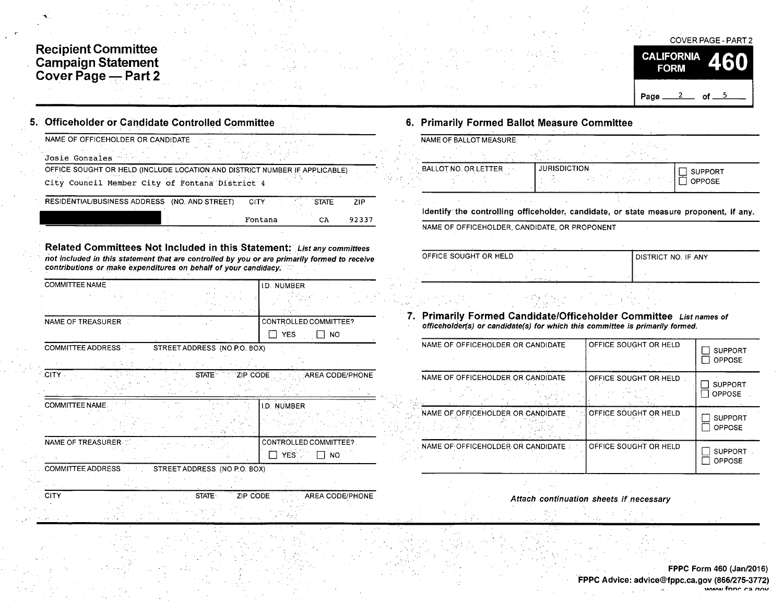## Recipient Committee Campaign Statemen Cover Page — Part 2

| NAME OF OFFICEHOLDER OR CANDIDATE.                                                                                                                                                                                                        |                                    |
|-------------------------------------------------------------------------------------------------------------------------------------------------------------------------------------------------------------------------------------------|------------------------------------|
| Josie Gonzales                                                                                                                                                                                                                            |                                    |
| OFFICE SOUGHT OR HELD (INCLUDE LOCATION AND DISTRICT NUMBER IF APPLICABLE)                                                                                                                                                                |                                    |
| City Council Member City of Fontana District 4                                                                                                                                                                                            |                                    |
| RESIDENTIAL/BUSINESS ADDRESS (NO. AND STREET)                                                                                                                                                                                             | <b>CITY</b><br><b>STATE</b><br>ZIP |
|                                                                                                                                                                                                                                           | Fontana<br>CA<br>92337             |
|                                                                                                                                                                                                                                           |                                    |
| Related Committees Not Included in this Statement: List any committees<br>not included in this statement that are controlled by you or are primarily formed to receive<br>contributions or make expenditures on behalf of your candidacy. |                                    |
| <b>COMMITTEE NAME</b>                                                                                                                                                                                                                     | I.D. NUMBER                        |
|                                                                                                                                                                                                                                           |                                    |
| NAME OF TREASURER                                                                                                                                                                                                                         | CONTROLLED COMMITTEE?              |
|                                                                                                                                                                                                                                           | <b>YES</b><br><b>NO</b>            |
| <b>COMMITTEE ADDRESS</b><br>STREET ADDRESS (NO P.O. BOX)                                                                                                                                                                                  |                                    |
|                                                                                                                                                                                                                                           |                                    |
|                                                                                                                                                                                                                                           | AREA CODE/PHONE                    |
| STATE ZIP CODE                                                                                                                                                                                                                            |                                    |
|                                                                                                                                                                                                                                           | <b>I.D. NUMBER</b>                 |
|                                                                                                                                                                                                                                           |                                    |
|                                                                                                                                                                                                                                           | CONTROLLED COMMITTEE?              |
|                                                                                                                                                                                                                                           | YES.<br>NO.                        |
| STREET ADDRESS (NO P.O. BOX)                                                                                                                                                                                                              |                                    |
| .CITY -<br>COMMITTEE NAME<br>NAME OF TREASURER.<br>COMMITTEE ADDRESS                                                                                                                                                                      |                                    |

## 6. Primarily Formed Ballot Measure Committee

| NAME OF BALLOT MEASURE.     |                     |                |
|-----------------------------|---------------------|----------------|
|                             |                     |                |
| BALLOT NO. OR LETTER<br>1 2 | <b>JURISDICTION</b> | <b>SUPPORT</b> |
|                             |                     | <b>OPPOSE</b>  |
|                             |                     |                |

Identify the controlling officeholder, candidate, or state measure proponent, if any.

NAME OF OFFICEHOLDER, CANDIDATE, OR PROPONENT

| OFFICE SOUGHT OR HELD |                     | I DISTRICT NO. IF ANY |
|-----------------------|---------------------|-----------------------|
|                       |                     |                       |
|                       | 1.11<br><b>SAMP</b> |                       |
|                       |                     |                       |

## 7. Primarily Formed Candidate/Officeholder Committee List names of officeholder(s) or candidate( s) for which this committee is primarily formed.

| NAME OF OFFICEHOLDER OR CANDIDATE | OFFICE SOUGHT OR HELD | <b>SUPPORT</b><br><b>OPPOSE</b> |
|-----------------------------------|-----------------------|---------------------------------|
| NAME OF OFFICEHOLDER OR CANDIDATE | OFFICE SOUGHT OR HELD | <b>SUPPORT</b><br>OPPOSE        |
| NAME OF OFFICEHOLDER OR CANDIDATE | OFFICE SOUGHT OR HELD | <b>SUPPORT</b><br><b>OPPOSE</b> |
| NAME OF OFFICEHOLDER OR CANDIDATE | OFFICE SOUGHT OR HELD | <b>SUPPORT</b><br>OPPOSE        |

Attach continuation sheets if necessary

COVER PAGE - PART 2

of  $-5$ 

460

**CALIFORNIA** 

**FORM** 

Page \_

 $\overline{\mathbf{2}}$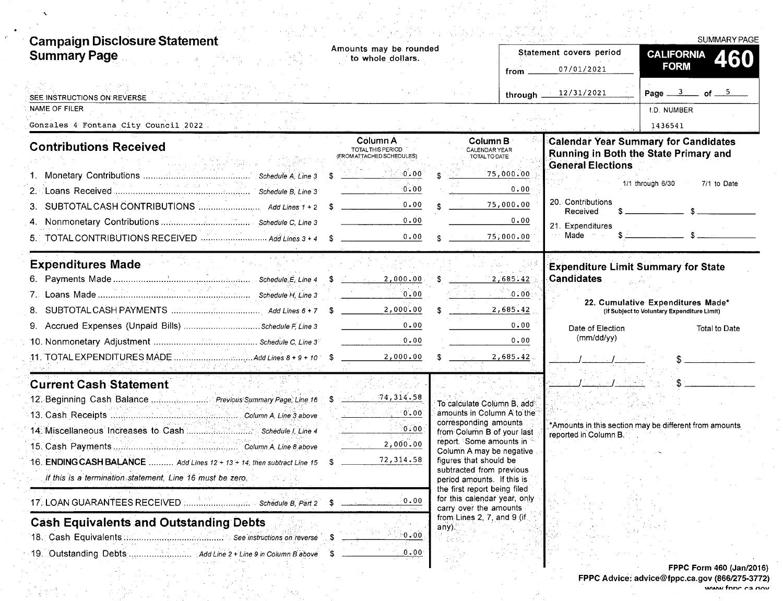| <b>Campaign Disclosure Statement</b>                                             |                                                            |                                                                       |                              | <b>SUMMARY PAGE</b>                                                                                                                                                                                                                                                                                                                                                                                                                                                             |
|----------------------------------------------------------------------------------|------------------------------------------------------------|-----------------------------------------------------------------------|------------------------------|---------------------------------------------------------------------------------------------------------------------------------------------------------------------------------------------------------------------------------------------------------------------------------------------------------------------------------------------------------------------------------------------------------------------------------------------------------------------------------|
| <b>Summary Page</b>                                                              | Amounts may be rounded<br>to whole dollars.                |                                                                       | Statement covers period      | <b>CALIFORNIA</b><br>460                                                                                                                                                                                                                                                                                                                                                                                                                                                        |
|                                                                                  |                                                            |                                                                       | 07/01/2021                   | <b>FORM</b>                                                                                                                                                                                                                                                                                                                                                                                                                                                                     |
| SEE INSTRUCTIONS ON REVERSE                                                      |                                                            |                                                                       | through 12/31/2021           | Page $\frac{3}{2}$ of $\frac{5}{2}$                                                                                                                                                                                                                                                                                                                                                                                                                                             |
| NAME OF FILER                                                                    |                                                            |                                                                       |                              | <b>I.D. NUMBER</b>                                                                                                                                                                                                                                                                                                                                                                                                                                                              |
| Gonzales 4 Fontana City Council 2022                                             |                                                            |                                                                       |                              | 1436541                                                                                                                                                                                                                                                                                                                                                                                                                                                                         |
| <b>Contributions Received</b>                                                    | Column A<br>TOTAL THIS PERIOD<br>(FROM ATTACHED SCHEDULES) | Column B<br><b>CALENDAR YEAR</b><br>TOTAL TO DATE                     |                              | <b>Calendar Year Summary for Candidates</b><br>Running in Both the State Primary and                                                                                                                                                                                                                                                                                                                                                                                            |
|                                                                                  | ∘0≩00′<br>- \$                                             | 75,000.00                                                             | <b>General Elections</b>     |                                                                                                                                                                                                                                                                                                                                                                                                                                                                                 |
| and the projection of the                                                        | 0.00                                                       | 0.00                                                                  |                              | 1/1 through 6/30<br>7/1 to Date                                                                                                                                                                                                                                                                                                                                                                                                                                                 |
| 3.                                                                               | 0.00<br>-S                                                 | 75,000.00                                                             | 20. Contributions            |                                                                                                                                                                                                                                                                                                                                                                                                                                                                                 |
|                                                                                  | 0.00                                                       | 0.00                                                                  | Received<br>21. Expenditures |                                                                                                                                                                                                                                                                                                                                                                                                                                                                                 |
|                                                                                  | 0.00                                                       | 75,000.00                                                             | Made                         | $\overline{\phantom{a}}$ $\overline{\phantom{a}}$ $\overline{\phantom{a}}$ $\overline{\phantom{a}}$ $\overline{\phantom{a}}$ $\overline{\phantom{a}}$ $\overline{\phantom{a}}$ $\overline{\phantom{a}}$ $\overline{\phantom{a}}$ $\overline{\phantom{a}}$ $\overline{\phantom{a}}$ $\overline{\phantom{a}}$ $\overline{\phantom{a}}$ $\overline{\phantom{a}}$ $\overline{\phantom{a}}$ $\overline{\phantom{a}}$ $\overline{\phantom{a}}$ $\overline{\phantom{a}}$ $\overline{\$ |
| <b>Expenditures Made</b>                                                         |                                                            |                                                                       |                              | <b>Expenditure Limit Summary for State</b>                                                                                                                                                                                                                                                                                                                                                                                                                                      |
|                                                                                  |                                                            | 2,685.42                                                              | <b>Candidates</b>            |                                                                                                                                                                                                                                                                                                                                                                                                                                                                                 |
|                                                                                  | 0.00                                                       | 0.00                                                                  |                              | 22. Cumulative Expenditures Made*                                                                                                                                                                                                                                                                                                                                                                                                                                               |
|                                                                                  | 2,000.00                                                   | 2,685.42                                                              |                              | (If Subject to Voluntary Expenditure Limit)                                                                                                                                                                                                                                                                                                                                                                                                                                     |
|                                                                                  | 0.00                                                       | 0.00                                                                  | Date of Election             | Total to Date                                                                                                                                                                                                                                                                                                                                                                                                                                                                   |
|                                                                                  | 0.00                                                       | 0.00                                                                  | (mm/dd/yy)                   |                                                                                                                                                                                                                                                                                                                                                                                                                                                                                 |
|                                                                                  |                                                            | 2,685.42                                                              |                              |                                                                                                                                                                                                                                                                                                                                                                                                                                                                                 |
| <u>sales positivity in the six section of o</u><br><b>Current Cash Statement</b> |                                                            |                                                                       |                              |                                                                                                                                                                                                                                                                                                                                                                                                                                                                                 |
|                                                                                  | 74, 314.58                                                 |                                                                       |                              |                                                                                                                                                                                                                                                                                                                                                                                                                                                                                 |
|                                                                                  | 0.00                                                       | To calculate Column B, add <sup>®</sup><br>amounts in Column A to the |                              |                                                                                                                                                                                                                                                                                                                                                                                                                                                                                 |
|                                                                                  | 0.00                                                       | corresponding amounts                                                 |                              | *Amounts in this section may be different from amounts                                                                                                                                                                                                                                                                                                                                                                                                                          |
|                                                                                  | 2,000.00                                                   | from Column B of your last<br>report. Some amounts in                 | reported in Column B.        |                                                                                                                                                                                                                                                                                                                                                                                                                                                                                 |
| 16. ENDING CASH BALANCE  Add Lines 12 + 13 + 14, then subtract Line 15           | 72,314.58<br>-S.                                           | Column A may be negative<br>figures that should be                    |                              |                                                                                                                                                                                                                                                                                                                                                                                                                                                                                 |
| If this is a termination statement, Line 16 must be zero.                        |                                                            | subtracted from previous<br>period amounts. If this is                |                              |                                                                                                                                                                                                                                                                                                                                                                                                                                                                                 |
|                                                                                  |                                                            | the first report being filed<br>for this calendar year, only          |                              |                                                                                                                                                                                                                                                                                                                                                                                                                                                                                 |
| Schedule B, Part 2                                                               | 0.00<br>S                                                  | carry over the amounts                                                |                              |                                                                                                                                                                                                                                                                                                                                                                                                                                                                                 |
| <b>Cash Equivalents and Outstanding Debts</b>                                    |                                                            | from Lines 2, 7, and 9 (if.<br>any)                                   |                              |                                                                                                                                                                                                                                                                                                                                                                                                                                                                                 |
|                                                                                  | $^{\circ}0$ , $00$                                         |                                                                       |                              |                                                                                                                                                                                                                                                                                                                                                                                                                                                                                 |
|                                                                                  | 0.00                                                       |                                                                       |                              |                                                                                                                                                                                                                                                                                                                                                                                                                                                                                 |

 $\label{eq:2} \frac{1}{\sqrt{2}}\sum_{i=1}^{n-1}\frac{1}{i} \int_{0}^{1} \frac{1}{\sqrt{2}}\,d\mu_{i}^{2}d\mu_{i}^{2}d\mu_{i}^{2}d\mu_{i}^{2}d\mu_{i}^{2}d\mu_{i}^{2}d\mu_{i}^{2}d\mu_{i}^{2}d\mu_{i}^{2}d\mu_{i}^{2}d\mu_{i}^{2}d\mu_{i}^{2}d\mu_{i}^{2}d\mu_{i}^{2}d\mu_{i}^{2}d\mu_{i}^{2}d\mu_{i}^{2}d\mu_{i}^{2}d\mu$ 

 $\frac{1}{2}\sum_{k=1}^{N} \frac{1}{k}$ 

 $\frac{1}{2} \frac{1}{2} \frac{d^2}{dt^2}$ 

FPPC Form 460 (Jan/2016) FPPC Advice: advice@fppc.ca.gov (866/275-3772)<br>۱۸۵۷ فتار ۱۸۹۵

 $\hat{\mathcal{A}}$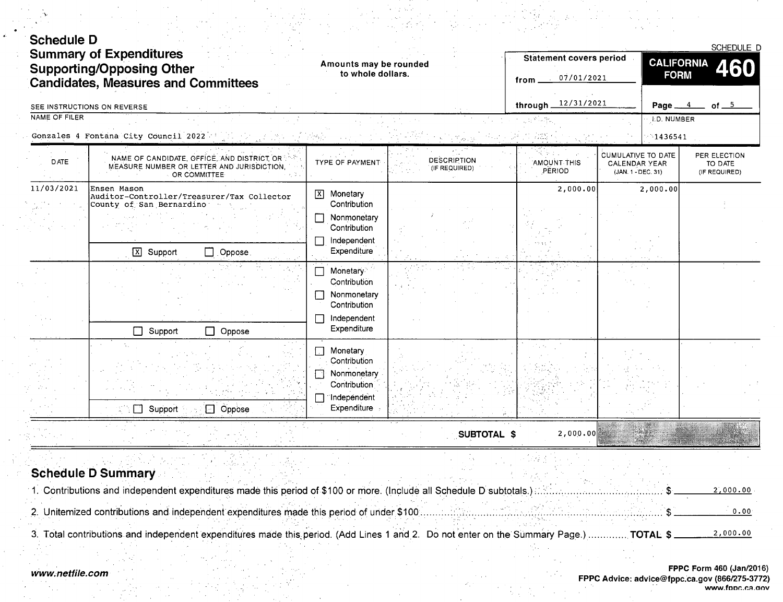| <b>Schedule D</b> |                                                                                                                    |                                                                                                                                           |                                     |                                                      |                                                                         |                                          |
|-------------------|--------------------------------------------------------------------------------------------------------------------|-------------------------------------------------------------------------------------------------------------------------------------------|-------------------------------------|------------------------------------------------------|-------------------------------------------------------------------------|------------------------------------------|
|                   | <b>Summary of Expenditures</b><br><b>Supporting/Opposing Other</b><br><b>Candidates, Measures and Committees</b>   | Amounts may be rounded<br>to whole dollars.                                                                                               |                                     | <b>Statement covers period</b><br>07/01/2021<br>from | <b>CALIFORNIA</b><br><b>FORM</b>                                        | SCHEDULE D<br><b>460</b>                 |
|                   | SEE INSTRUCTIONS ON REVERSE                                                                                        |                                                                                                                                           |                                     | through 12/31/2021                                   | Page_                                                                   | of $-5$                                  |
| NAME OF FILER     |                                                                                                                    |                                                                                                                                           |                                     |                                                      | <b>I.D. NUMBER</b>                                                      |                                          |
|                   | Gonzales 4 Fontana City Council 2022                                                                               |                                                                                                                                           |                                     |                                                      | $-1436541$                                                              |                                          |
| <b>DATE</b>       | NAME OF CANDIDATE, OFFICE, AND DISTRICT OR<br>MEASURE NUMBER OR LETTER AND JURISDICTION.<br>OR COMMITTEE           | <b>TYPE OF PAYMENT</b>                                                                                                                    | <b>DESCRIPTION</b><br>(IF REQUIRED) | <b>AMOUNT THIS</b><br>PERIOD                         | <b>CUMULATIVE TO DATE</b><br><b>CALENDAR YEAR</b><br>(JAN. 1 - DEC. 31) | PER ELECTION<br>TO DATE<br>(IF REQUIRED) |
| 11/03/2021        | Ensen Mason<br>Auditor-Controller/Treasurer/Tax Collector<br>County of San Bernardino<br>X Support<br>Oppose.<br>П | Monetary<br>$\boxed{\mathbf{X}}$<br>Contribution<br>Nonmonetary<br>Contribution<br>Independent<br>Expenditure<br>Monetary<br>Contribution |                                     | 2,000.00                                             | 2,000.00                                                                |                                          |
|                   | $\Box$<br>Support<br>$\Box$ Oppose                                                                                 | Nonmonetary<br>Contribution<br>Independent<br>Expenditure                                                                                 |                                     |                                                      |                                                                         |                                          |
|                   | $\Box$<br>Support<br>$\Box$ Oppose                                                                                 | Monetary<br>$\mathbf{I} \cdot \mathbf{I}$<br>Contribution<br>Nonmonetary<br>Contribution<br>Independent<br>Expenditure                    |                                     |                                                      |                                                                         |                                          |
|                   |                                                                                                                    |                                                                                                                                           | SUBTOTAL \$                         | 2,000.00                                             |                                                                         |                                          |

## Schedule D Summary

| 1. Contributions and independent expenditures made this period of \$100 or more. (Include all Schedule D subtotals.)                     | 2,000.00 |
|------------------------------------------------------------------------------------------------------------------------------------------|----------|
|                                                                                                                                          |          |
| 2. Unitemized contributions and independent expenditures made this period of under \$100.                                                |          |
|                                                                                                                                          |          |
| 3. Total contributions and independent expenditures made this period. (Add Lines 1 and 2. Do not enter on the Summary Page.).<br>TOTAL S | 2,000.00 |

 $\langle \zeta_{\rm esc}\rangle$